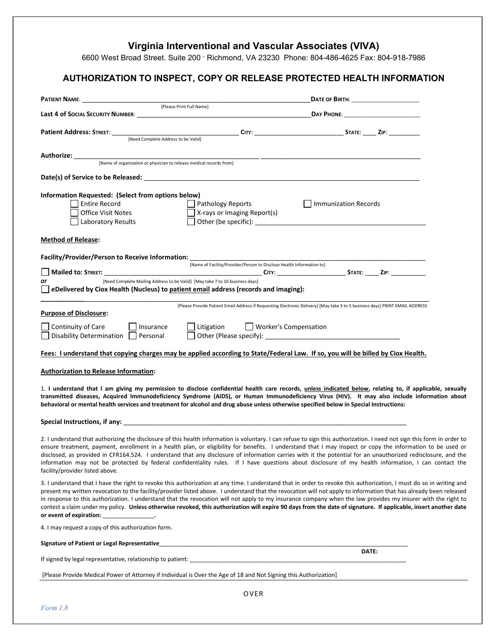## **Virginia Interventional and Vascular Associates (VIVA)**

6600 West Broad Street. Suite 200 · Richmond, VA 23230 Phone: 804-486-4625 Fax: 804-918-7986

## **AUTHORIZATION TO INSPECT, COPY OR RELEASE PROTECTED HEALTH INFORMATION**

| [Need Complete Address to be Valid]                                                                                                                                                                                                                                                                                                                                                                                                                                                                                                                                                                                                                                                                                          |                                                                                                                              |  |
|------------------------------------------------------------------------------------------------------------------------------------------------------------------------------------------------------------------------------------------------------------------------------------------------------------------------------------------------------------------------------------------------------------------------------------------------------------------------------------------------------------------------------------------------------------------------------------------------------------------------------------------------------------------------------------------------------------------------------|------------------------------------------------------------------------------------------------------------------------------|--|
|                                                                                                                                                                                                                                                                                                                                                                                                                                                                                                                                                                                                                                                                                                                              |                                                                                                                              |  |
|                                                                                                                                                                                                                                                                                                                                                                                                                                                                                                                                                                                                                                                                                                                              |                                                                                                                              |  |
|                                                                                                                                                                                                                                                                                                                                                                                                                                                                                                                                                                                                                                                                                                                              |                                                                                                                              |  |
| Information Requested: (Select from options below)                                                                                                                                                                                                                                                                                                                                                                                                                                                                                                                                                                                                                                                                           |                                                                                                                              |  |
| <b>Entire Record</b>                                                                                                                                                                                                                                                                                                                                                                                                                                                                                                                                                                                                                                                                                                         | Pathology Reports<br>    Immunization Records                                                                                |  |
| Office Visit Notes                                                                                                                                                                                                                                                                                                                                                                                                                                                                                                                                                                                                                                                                                                           | X-rays or Imaging Report(s)                                                                                                  |  |
| Laboratory Results                                                                                                                                                                                                                                                                                                                                                                                                                                                                                                                                                                                                                                                                                                           |                                                                                                                              |  |
| <b>Method of Release:</b>                                                                                                                                                                                                                                                                                                                                                                                                                                                                                                                                                                                                                                                                                                    |                                                                                                                              |  |
| Facility/Provider/Person to Receive Information:                                                                                                                                                                                                                                                                                                                                                                                                                                                                                                                                                                                                                                                                             |                                                                                                                              |  |
|                                                                                                                                                                                                                                                                                                                                                                                                                                                                                                                                                                                                                                                                                                                              | [Name of Facility/Provider/Person to Disclose Health Information to]                                                         |  |
| [Need Complete Mailing Address to be Valid] [May take 7 to 10 business days]<br>or                                                                                                                                                                                                                                                                                                                                                                                                                                                                                                                                                                                                                                           |                                                                                                                              |  |
| eDelivered by Ciox Health (Nucleus) to patient email address (records and imaging):                                                                                                                                                                                                                                                                                                                                                                                                                                                                                                                                                                                                                                          |                                                                                                                              |  |
|                                                                                                                                                                                                                                                                                                                                                                                                                                                                                                                                                                                                                                                                                                                              |                                                                                                                              |  |
| <b>Purpose of Disclosure:</b>                                                                                                                                                                                                                                                                                                                                                                                                                                                                                                                                                                                                                                                                                                | [Please Provide Patient Email Address if Requesting Electronic Delivery] [May take 3 to 5 business days] PRINT EMAIL ADDRESS |  |
| Continuity of Care<br>  Insurance                                                                                                                                                                                                                                                                                                                                                                                                                                                                                                                                                                                                                                                                                            | Litigation<br>$\Box$ Worker's Compensation                                                                                   |  |
| Disability Determination $\Box$ Personal                                                                                                                                                                                                                                                                                                                                                                                                                                                                                                                                                                                                                                                                                     |                                                                                                                              |  |
| Fees: I understand that copying charges may be applied according to State/Federal Law. If so, you will be billed by Ciox Health.                                                                                                                                                                                                                                                                                                                                                                                                                                                                                                                                                                                             |                                                                                                                              |  |
| <b>Authorization to Release Information:</b>                                                                                                                                                                                                                                                                                                                                                                                                                                                                                                                                                                                                                                                                                 |                                                                                                                              |  |
| 1. I understand that I am giving my permission to disclose confidential health care records, unless indicated below, relating to, if applicable, sexually<br>transmitted diseases, Acquired Immunodeficiency Syndrome (AIDS), or Human Immunodeficiency Virus (HIV). It may also include information about<br>behavioral or mental health services and treatment for alcohol and drug abuse unless otherwise specified below in Special Instructions:                                                                                                                                                                                                                                                                        |                                                                                                                              |  |
|                                                                                                                                                                                                                                                                                                                                                                                                                                                                                                                                                                                                                                                                                                                              |                                                                                                                              |  |
| 2. I understand that authorizing the disclosure of this health information is voluntary. I can refuse to sign this authorization. I need not sign this form in order to<br>ensure treatment, payment, enrollment in a health plan, or eligibility for benefits. I understand that I may inspect or copy the information to be used or<br>disclosed, as provided in CFR164.524. I understand that any disclosure of information carries with it the potential for an unauthorized redisclosure, and the<br>information may not be protected by federal confidentiality rules. If I have questions about disclosure of my health information, I can contact the<br>facility/provider listed above.                             |                                                                                                                              |  |
| 3. I understand that I have the right to revoke this authorization at any time. I understand that in order to revoke this authorization, I must do so in writing and<br>present my written revocation to the facility/provider listed above. I understand that the revocation will not apply to information that has already been released<br>in response to this authorization. I understand that the revocation will not apply to my insurance company when the law provides my insurer with the right to<br>contest a claim under my policy. Unless otherwise revoked, this authorization will expire 90 days from the date of signature. If applicable, insert another date<br>or event of expiration: ________________. |                                                                                                                              |  |
| 4. I may request a copy of this authorization form.                                                                                                                                                                                                                                                                                                                                                                                                                                                                                                                                                                                                                                                                          |                                                                                                                              |  |
|                                                                                                                                                                                                                                                                                                                                                                                                                                                                                                                                                                                                                                                                                                                              | DATE:                                                                                                                        |  |
|                                                                                                                                                                                                                                                                                                                                                                                                                                                                                                                                                                                                                                                                                                                              |                                                                                                                              |  |
| [Please Provide Medical Power of Attorney if Individual is Over the Age of 18 and Not Signing this Authorization]                                                                                                                                                                                                                                                                                                                                                                                                                                                                                                                                                                                                            |                                                                                                                              |  |
|                                                                                                                                                                                                                                                                                                                                                                                                                                                                                                                                                                                                                                                                                                                              | OVER                                                                                                                         |  |